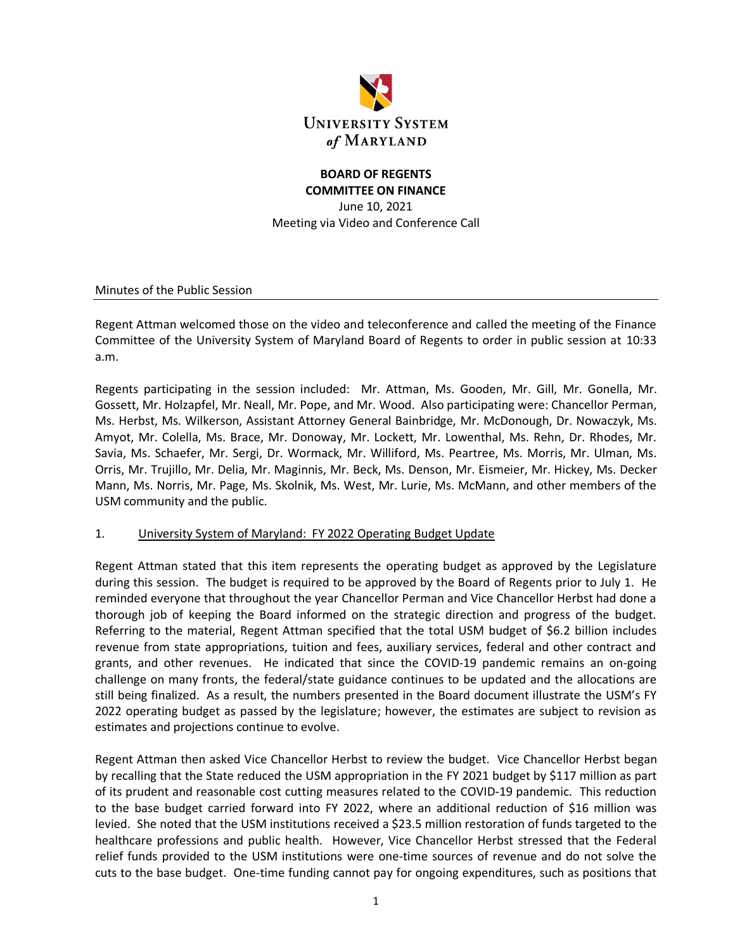

## **BOARD OF REGENTS COMMITTEE ON FINANCE**

June 10, 2021 Meeting via Video and Conference Call

Minutes of the Public Session

Regent Attman welcomed those on the video and teleconference and called the meeting of the Finance Committee of the University System of Maryland Board of Regents to order in public session at 10:33 a.m.

Regents participating in the session included: Mr. Attman, Ms. Gooden, Mr. Gill, Mr. Gonella, Mr. Gossett, Mr. Holzapfel, Mr. Neall, Mr. Pope, and Mr. Wood. Also participating were: Chancellor Perman, Ms. Herbst, Ms. Wilkerson, Assistant Attorney General Bainbridge, Mr. McDonough, Dr. Nowaczyk, Ms. Amyot, Mr. Colella, Ms. Brace, Mr. Donoway, Mr. Lockett, Mr. Lowenthal, Ms. Rehn, Dr. Rhodes, Mr. Savia, Ms. Schaefer, Mr. Sergi, Dr. Wormack, Mr. Williford, Ms. Peartree, Ms. Morris, Mr. Ulman, Ms. Orris, Mr. Trujillo, Mr. Delia, Mr. Maginnis, Mr. Beck, Ms. Denson, Mr. Eismeier, Mr. Hickey, Ms. Decker Mann, Ms. Norris, Mr. Page, Ms. Skolnik, Ms. West, Mr. Lurie, Ms. McMann, and other members of the USM community and the public.

#### 1. University System of Maryland: FY 2022 Operating Budget Update

Regent Attman stated that this item represents the operating budget as approved by the Legislature during this session. The budget is required to be approved by the Board of Regents prior to July 1. He reminded everyone that throughout the year Chancellor Perman and Vice Chancellor Herbst had done a thorough job of keeping the Board informed on the strategic direction and progress of the budget. Referring to the material, Regent Attman specified that the total USM budget of \$6.2 billion includes revenue from state appropriations, tuition and fees, auxiliary services, federal and other contract and grants, and other revenues. He indicated that since the COVID-19 pandemic remains an on-going challenge on many fronts, the federal/state guidance continues to be updated and the allocations are still being finalized. As a result, the numbers presented in the Board document illustrate the USM's FY 2022 operating budget as passed by the legislature; however, the estimates are subject to revision as estimates and projections continue to evolve.

Regent Attman then asked Vice Chancellor Herbst to review the budget. Vice Chancellor Herbst began by recalling that the State reduced the USM appropriation in the FY 2021 budget by \$117 million as part of its prudent and reasonable cost cutting measures related to the COVID-19 pandemic. This reduction to the base budget carried forward into FY 2022, where an additional reduction of \$16 million was levied. She noted that the USM institutions received a \$23.5 million restoration of funds targeted to the healthcare professions and public health. However, Vice Chancellor Herbst stressed that the Federal relief funds provided to the USM institutions were one-time sources of revenue and do not solve the cuts to the base budget. One-time funding cannot pay for ongoing expenditures, such as positions that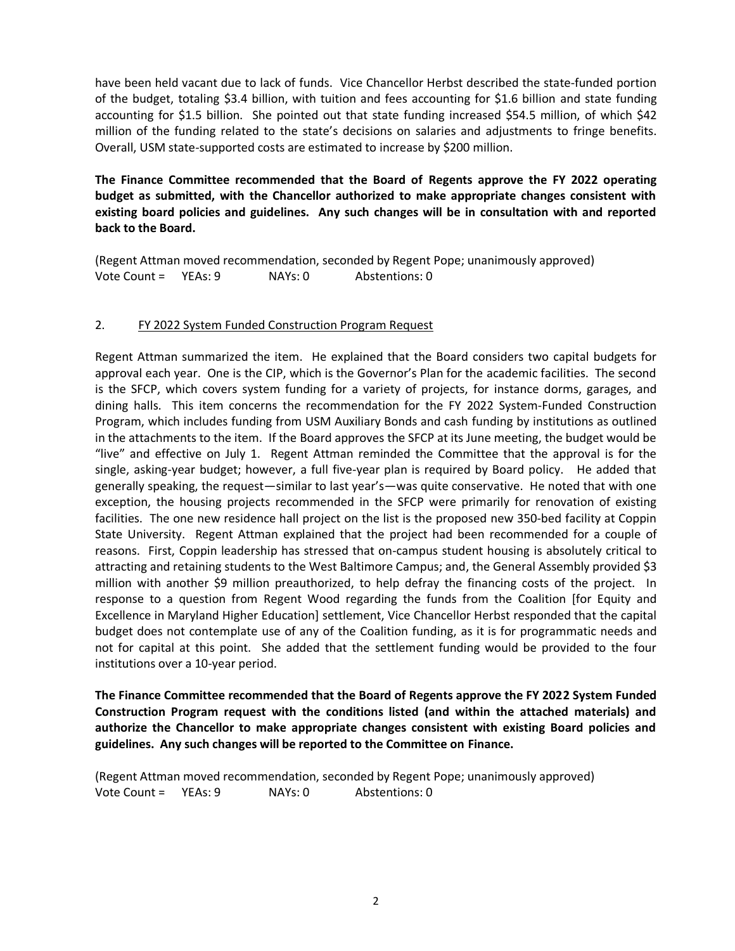have been held vacant due to lack of funds. Vice Chancellor Herbst described the state-funded portion of the budget, totaling \$3.4 billion, with tuition and fees accounting for \$1.6 billion and state funding accounting for \$1.5 billion. She pointed out that state funding increased \$54.5 million, of which \$42 million of the funding related to the state's decisions on salaries and adjustments to fringe benefits. Overall, USM state-supported costs are estimated to increase by \$200 million.

**The Finance Committee recommended that the Board of Regents approve the FY 2022 operating budget as submitted, with the Chancellor authorized to make appropriate changes consistent with existing board policies and guidelines. Any such changes will be in consultation with and reported back to the Board.**

(Regent Attman moved recommendation, seconded by Regent Pope; unanimously approved) Vote Count = YEAs: 9 NAYs: 0 Abstentions: 0

#### 2. FY 2022 System Funded Construction Program Request

Regent Attman summarized the item. He explained that the Board considers two capital budgets for approval each year. One is the CIP, which is the Governor's Plan for the academic facilities. The second is the SFCP, which covers system funding for a variety of projects, for instance dorms, garages, and dining halls. This item concerns the recommendation for the FY 2022 System-Funded Construction Program, which includes funding from USM Auxiliary Bonds and cash funding by institutions as outlined in the attachments to the item. If the Board approves the SFCP at its June meeting, the budget would be "live" and effective on July 1. Regent Attman reminded the Committee that the approval is for the single, asking-year budget; however, a full five-year plan is required by Board policy. He added that generally speaking, the request—similar to last year's—was quite conservative. He noted that with one exception, the housing projects recommended in the SFCP were primarily for renovation of existing facilities. The one new residence hall project on the list is the proposed new 350-bed facility at Coppin State University. Regent Attman explained that the project had been recommended for a couple of reasons. First, Coppin leadership has stressed that on-campus student housing is absolutely critical to attracting and retaining students to the West Baltimore Campus; and, the General Assembly provided \$3 million with another \$9 million preauthorized, to help defray the financing costs of the project. In response to a question from Regent Wood regarding the funds from the Coalition [for Equity and Excellence in Maryland Higher Education] settlement, Vice Chancellor Herbst responded that the capital budget does not contemplate use of any of the Coalition funding, as it is for programmatic needs and not for capital at this point. She added that the settlement funding would be provided to the four institutions over a 10-year period.

**The Finance Committee recommended that the Board of Regents approve the FY 2022 System Funded Construction Program request with the conditions listed (and within the attached materials) and authorize the Chancellor to make appropriate changes consistent with existing Board policies and guidelines. Any such changes will be reported to the Committee on Finance.**

(Regent Attman moved recommendation, seconded by Regent Pope; unanimously approved) Vote Count = YEAs: 9 NAYs: 0 Abstentions: 0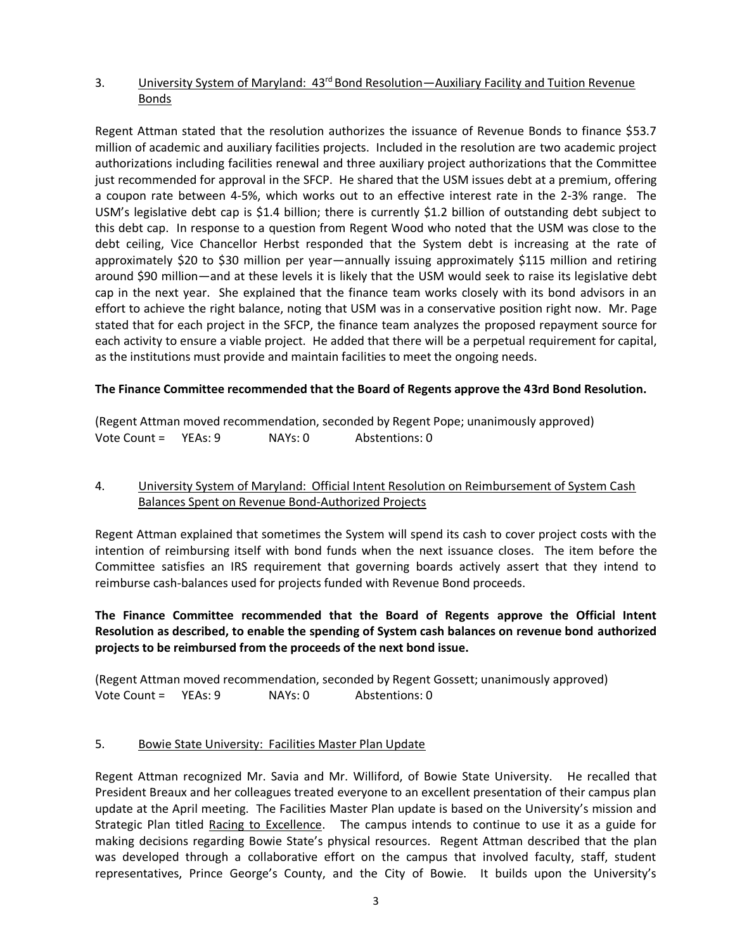## 3. University System of Maryland: 43<sup>rd</sup> Bond Resolution—Auxiliary Facility and Tuition Revenue **Bonds**

Regent Attman stated that the resolution authorizes the issuance of Revenue Bonds to finance \$53.7 million of academic and auxiliary facilities projects. Included in the resolution are two academic project authorizations including facilities renewal and three auxiliary project authorizations that the Committee just recommended for approval in the SFCP. He shared that the USM issues debt at a premium, offering a coupon rate between 4-5%, which works out to an effective interest rate in the 2-3% range. The USM's legislative debt cap is \$1.4 billion; there is currently \$1.2 billion of outstanding debt subject to this debt cap. In response to a question from Regent Wood who noted that the USM was close to the debt ceiling, Vice Chancellor Herbst responded that the System debt is increasing at the rate of approximately \$20 to \$30 million per year—annually issuing approximately \$115 million and retiring around \$90 million—and at these levels it is likely that the USM would seek to raise its legislative debt cap in the next year. She explained that the finance team works closely with its bond advisors in an effort to achieve the right balance, noting that USM was in a conservative position right now. Mr. Page stated that for each project in the SFCP, the finance team analyzes the proposed repayment source for each activity to ensure a viable project. He added that there will be a perpetual requirement for capital, as the institutions must provide and maintain facilities to meet the ongoing needs.

## **The Finance Committee recommended that the Board of Regents approve the 43rd Bond Resolution.**

|              |         |         | (Regent Attman moved recommendation, seconded by Regent Pope; unanimously approved) |
|--------------|---------|---------|-------------------------------------------------------------------------------------|
| Vote Count = | YEAs: 9 | NAYs: 0 | Abstentions: 0                                                                      |

## 4. University System of Maryland: Official Intent Resolution on Reimbursement of System Cash Balances Spent on Revenue Bond-Authorized Projects

Regent Attman explained that sometimes the System will spend its cash to cover project costs with the intention of reimbursing itself with bond funds when the next issuance closes. The item before the Committee satisfies an IRS requirement that governing boards actively assert that they intend to reimburse cash-balances used for projects funded with Revenue Bond proceeds.

# **The Finance Committee recommended that the Board of Regents approve the Official Intent Resolution as described, to enable the spending of System cash balances on revenue bond authorized projects to be reimbursed from the proceeds of the next bond issue.**

(Regent Attman moved recommendation, seconded by Regent Gossett; unanimously approved) Vote Count = YEAs: 9 NAYs: 0 Abstentions: 0

## 5. Bowie State University: Facilities Master Plan Update

Regent Attman recognized Mr. Savia and Mr. Williford, of Bowie State University. He recalled that President Breaux and her colleagues treated everyone to an excellent presentation of their campus plan update at the April meeting. The Facilities Master Plan update is based on the University's mission and Strategic Plan titled Racing to Excellence. The campus intends to continue to use it as a guide for making decisions regarding Bowie State's physical resources. Regent Attman described that the plan was developed through a collaborative effort on the campus that involved faculty, staff, student representatives, Prince George's County, and the City of Bowie. It builds upon the University's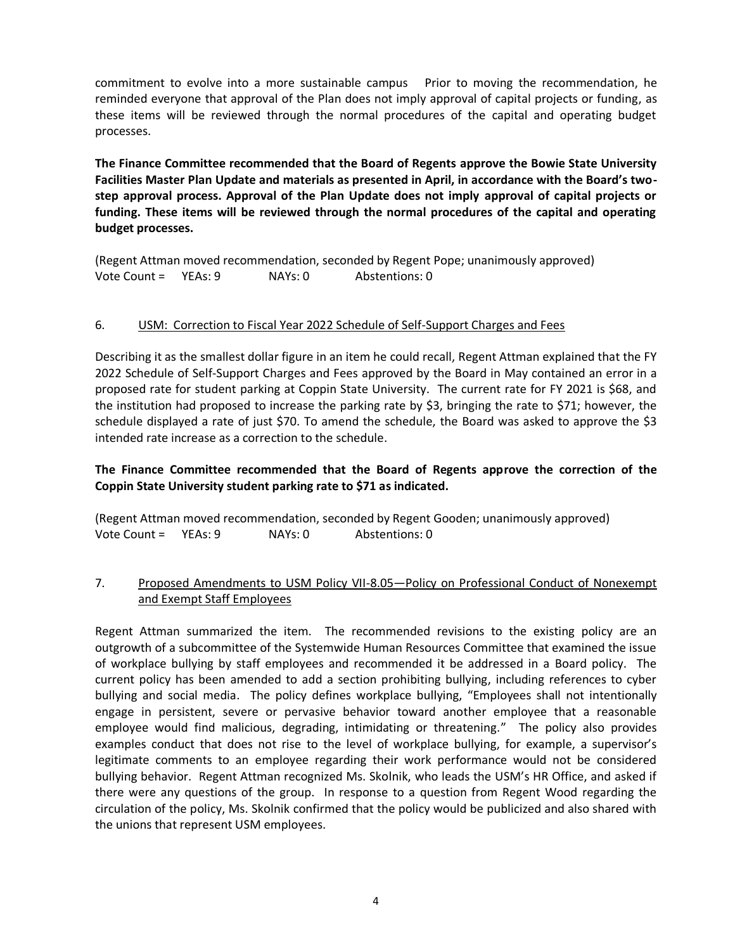commitment to evolve into a more sustainable campus Prior to moving the recommendation, he reminded everyone that approval of the Plan does not imply approval of capital projects or funding, as these items will be reviewed through the normal procedures of the capital and operating budget processes.

**The Finance Committee recommended that the Board of Regents approve the Bowie State University Facilities Master Plan Update and materials as presented in April, in accordance with the Board's twostep approval process. Approval of the Plan Update does not imply approval of capital projects or funding. These items will be reviewed through the normal procedures of the capital and operating budget processes.**

(Regent Attman moved recommendation, seconded by Regent Pope; unanimously approved) Vote Count = YEAs: 9 NAYs: 0 Abstentions: 0

#### 6. USM: Correction to Fiscal Year 2022 Schedule of Self-Support Charges and Fees

Describing it as the smallest dollar figure in an item he could recall, Regent Attman explained that the FY 2022 Schedule of Self-Support Charges and Fees approved by the Board in May contained an error in a proposed rate for student parking at Coppin State University. The current rate for FY 2021 is \$68, and the institution had proposed to increase the parking rate by \$3, bringing the rate to \$71; however, the schedule displayed a rate of just \$70. To amend the schedule, the Board was asked to approve the \$3 intended rate increase as a correction to the schedule.

#### **The Finance Committee recommended that the Board of Regents approve the correction of the Coppin State University student parking rate to \$71 as indicated.**

(Regent Attman moved recommendation, seconded by Regent Gooden; unanimously approved) Vote Count = YEAs: 9 NAYs: 0 Abstentions: 0

#### 7. Proposed Amendments to USM Policy VII-8.05—Policy on Professional Conduct of Nonexempt and Exempt Staff Employees

Regent Attman summarized the item. The recommended revisions to the existing policy are an outgrowth of a subcommittee of the Systemwide Human Resources Committee that examined the issue of workplace bullying by staff employees and recommended it be addressed in a Board policy. The current policy has been amended to add a section prohibiting bullying, including references to cyber bullying and social media. The policy defines workplace bullying, "Employees shall not intentionally engage in persistent, severe or pervasive behavior toward another employee that a reasonable employee would find malicious, degrading, intimidating or threatening." The policy also provides examples conduct that does not rise to the level of workplace bullying, for example, a supervisor's legitimate comments to an employee regarding their work performance would not be considered bullying behavior. Regent Attman recognized Ms. Skolnik, who leads the USM's HR Office, and asked if there were any questions of the group. In response to a question from Regent Wood regarding the circulation of the policy, Ms. Skolnik confirmed that the policy would be publicized and also shared with the unions that represent USM employees.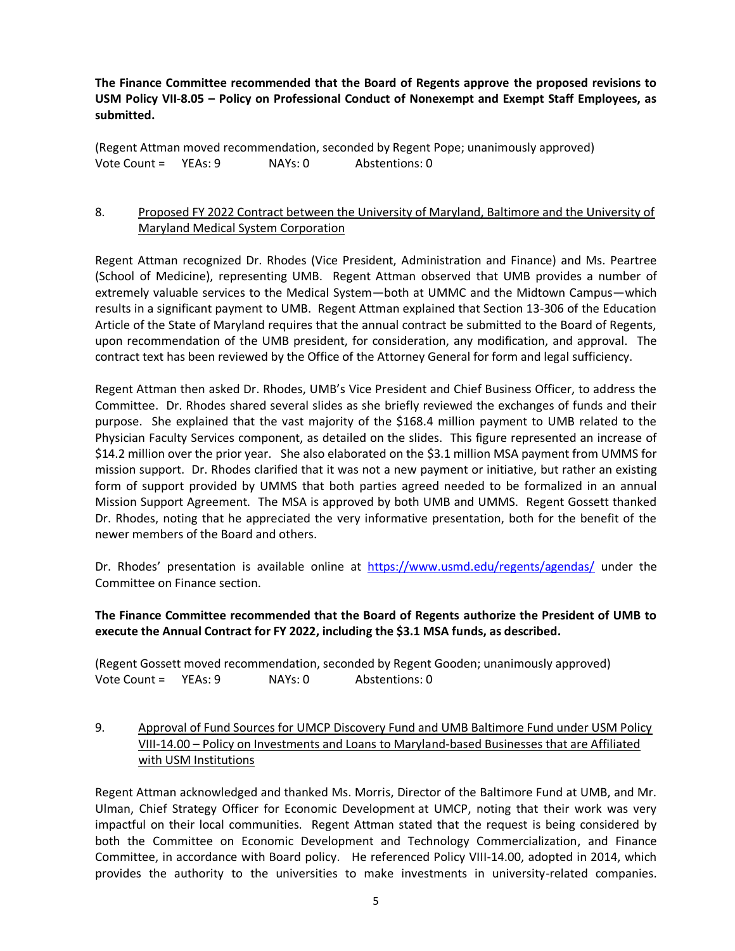**The Finance Committee recommended that the Board of Regents approve the proposed revisions to USM Policy VII‐8.05 – Policy on Professional Conduct of Nonexempt and Exempt Staff Employees, as submitted.**

(Regent Attman moved recommendation, seconded by Regent Pope; unanimously approved) Vote Count = YEAs: 9 NAYs: 0 Abstentions: 0

## 8. Proposed FY 2022 Contract between the University of Maryland, Baltimore and the University of Maryland Medical System Corporation

Regent Attman recognized Dr. Rhodes (Vice President, Administration and Finance) and Ms. Peartree (School of Medicine), representing UMB. Regent Attman observed that UMB provides a number of extremely valuable services to the Medical System—both at UMMC and the Midtown Campus—which results in a significant payment to UMB. Regent Attman explained that Section 13-306 of the Education Article of the State of Maryland requires that the annual contract be submitted to the Board of Regents, upon recommendation of the UMB president, for consideration, any modification, and approval. The contract text has been reviewed by the Office of the Attorney General for form and legal sufficiency.

Regent Attman then asked Dr. Rhodes, UMB's Vice President and Chief Business Officer, to address the Committee. Dr. Rhodes shared several slides as she briefly reviewed the exchanges of funds and their purpose. She explained that the vast majority of the \$168.4 million payment to UMB related to the Physician Faculty Services component, as detailed on the slides. This figure represented an increase of \$14.2 million over the prior year. She also elaborated on the \$3.1 million MSA payment from UMMS for mission support. Dr. Rhodes clarified that it was not a new payment or initiative, but rather an existing form of support provided by UMMS that both parties agreed needed to be formalized in an annual Mission Support Agreement. The MSA is approved by both UMB and UMMS. Regent Gossett thanked Dr. Rhodes, noting that he appreciated the very informative presentation, both for the benefit of the newer members of the Board and others.

Dr. Rhodes' presentation is available online at <https://www.usmd.edu/regents/agendas/> under the Committee on Finance section.

## **The Finance Committee recommended that the Board of Regents authorize the President of UMB to execute the Annual Contract for FY 2022, including the \$3.1 MSA funds, as described.**

(Regent Gossett moved recommendation, seconded by Regent Gooden; unanimously approved) Vote Count = YEAs: 9 NAYs: 0 Abstentions: 0

## 9. Approval of Fund Sources for UMCP Discovery Fund and UMB Baltimore Fund under USM Policy VIII-14.00 – Policy on Investments and Loans to Maryland-based Businesses that are Affiliated with USM Institutions

Regent Attman acknowledged and thanked Ms. Morris, Director of the Baltimore Fund at UMB, and Mr. Ulman, Chief Strategy Officer for Economic Development at UMCP, noting that their work was very impactful on their local communities. Regent Attman stated that the request is being considered by both the Committee on Economic Development and Technology Commercialization, and Finance Committee, in accordance with Board policy. He referenced Policy VIII-14.00, adopted in 2014, which provides the authority to the universities to make investments in university-related companies.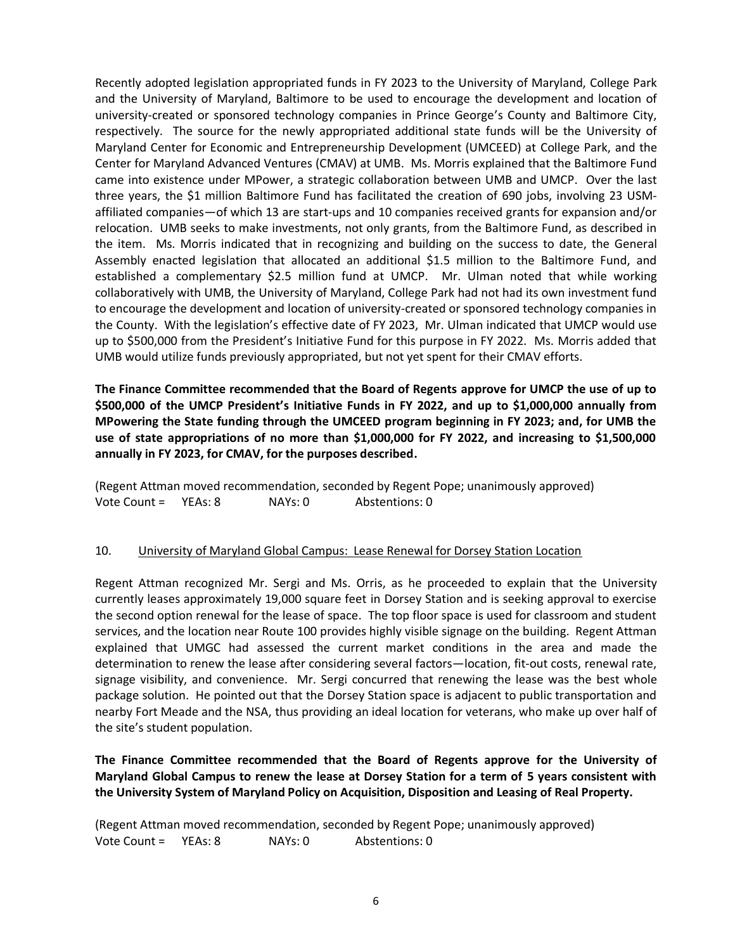Recently adopted legislation appropriated funds in FY 2023 to the University of Maryland, College Park and the University of Maryland, Baltimore to be used to encourage the development and location of university-created or sponsored technology companies in Prince George's County and Baltimore City, respectively. The source for the newly appropriated additional state funds will be the University of Maryland Center for Economic and Entrepreneurship Development (UMCEED) at College Park, and the Center for Maryland Advanced Ventures (CMAV) at UMB. Ms. Morris explained that the Baltimore Fund came into existence under MPower, a strategic collaboration between UMB and UMCP. Over the last three years, the \$1 million Baltimore Fund has facilitated the creation of 690 jobs, involving 23 USMaffiliated companies—of which 13 are start-ups and 10 companies received grants for expansion and/or relocation. UMB seeks to make investments, not only grants, from the Baltimore Fund, as described in the item. Ms. Morris indicated that in recognizing and building on the success to date, the General Assembly enacted legislation that allocated an additional \$1.5 million to the Baltimore Fund, and established a complementary \$2.5 million fund at UMCP. Mr. Ulman noted that while working collaboratively with UMB, the University of Maryland, College Park had not had its own investment fund to encourage the development and location of university-created or sponsored technology companies in the County. With the legislation's effective date of FY 2023, Mr. Ulman indicated that UMCP would use up to \$500,000 from the President's Initiative Fund for this purpose in FY 2022. Ms. Morris added that UMB would utilize funds previously appropriated, but not yet spent for their CMAV efforts.

**The Finance Committee recommended that the Board of Regents approve for UMCP the use of up to \$500,000 of the UMCP President's Initiative Funds in FY 2022, and up to \$1,000,000 annually from MPowering the State funding through the UMCEED program beginning in FY 2023; and, for UMB the use of state appropriations of no more than \$1,000,000 for FY 2022, and increasing to \$1,500,000 annually in FY 2023, for CMAV, for the purposes described.**

(Regent Attman moved recommendation, seconded by Regent Pope; unanimously approved) Vote Count = YEAs: 8 NAYs: 0 Abstentions: 0

#### 10. University of Maryland Global Campus: Lease Renewal for Dorsey Station Location

Regent Attman recognized Mr. Sergi and Ms. Orris, as he proceeded to explain that the University currently leases approximately 19,000 square feet in Dorsey Station and is seeking approval to exercise the second option renewal for the lease of space. The top floor space is used for classroom and student services, and the location near Route 100 provides highly visible signage on the building. Regent Attman explained that UMGC had assessed the current market conditions in the area and made the determination to renew the lease after considering several factors—location, fit-out costs, renewal rate, signage visibility, and convenience. Mr. Sergi concurred that renewing the lease was the best whole package solution. He pointed out that the Dorsey Station space is adjacent to public transportation and nearby Fort Meade and the NSA, thus providing an ideal location for veterans, who make up over half of the site's student population.

**The Finance Committee recommended that the Board of Regents approve for the University of Maryland Global Campus to renew the lease at Dorsey Station for a term of 5 years consistent with the University System of Maryland Policy on Acquisition, Disposition and Leasing of Real Property.**

(Regent Attman moved recommendation, seconded by Regent Pope; unanimously approved) Vote Count = YEAs: 8 NAYs: 0 Abstentions: 0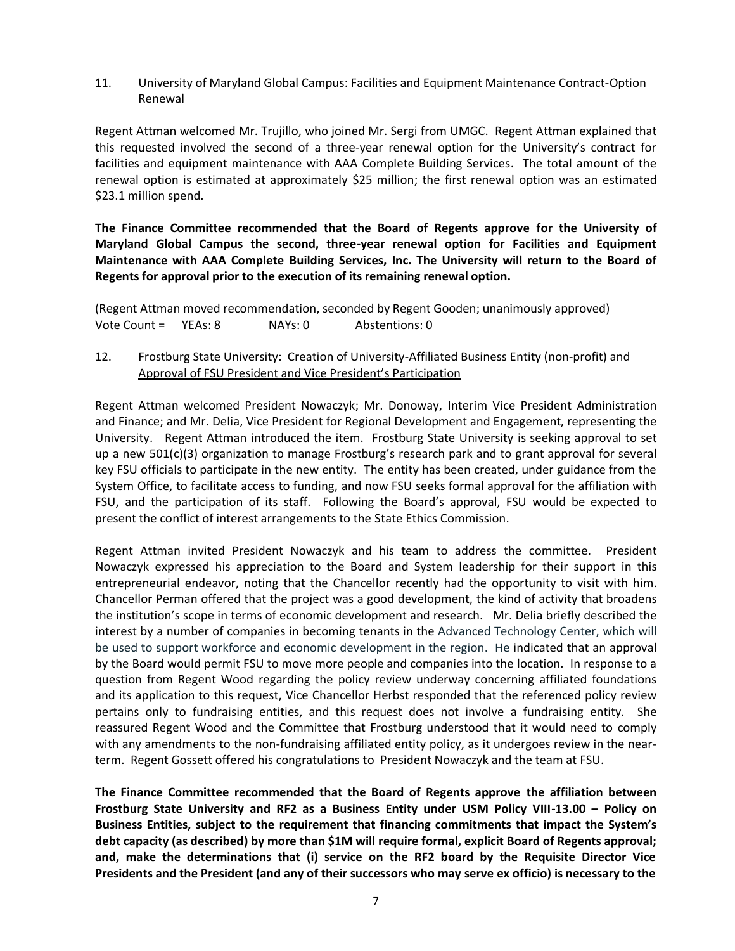### 11. University of Maryland Global Campus: Facilities and Equipment Maintenance Contract-Option Renewal

Regent Attman welcomed Mr. Trujillo, who joined Mr. Sergi from UMGC. Regent Attman explained that this requested involved the second of a three-year renewal option for the University's contract for facilities and equipment maintenance with AAA Complete Building Services. The total amount of the renewal option is estimated at approximately \$25 million; the first renewal option was an estimated \$23.1 million spend.

**The Finance Committee recommended that the Board of Regents approve for the University of Maryland Global Campus the second, three-year renewal option for Facilities and Equipment Maintenance with AAA Complete Building Services, Inc. The University will return to the Board of Regents for approval prior to the execution of its remaining renewal option.**

(Regent Attman moved recommendation, seconded by Regent Gooden; unanimously approved) Vote Count = YEAs: 8 NAYs: 0 Abstentions: 0

12. Frostburg State University: Creation of University-Affiliated Business Entity (non-profit) and Approval of FSU President and Vice President's Participation

Regent Attman welcomed President Nowaczyk; Mr. Donoway, Interim Vice President Administration and Finance; and Mr. Delia, Vice President for Regional Development and Engagement, representing the University. Regent Attman introduced the item. Frostburg State University is seeking approval to set up a new 501(c)(3) organization to manage Frostburg's research park and to grant approval for several key FSU officials to participate in the new entity. The entity has been created, under guidance from the System Office, to facilitate access to funding, and now FSU seeks formal approval for the affiliation with FSU, and the participation of its staff. Following the Board's approval, FSU would be expected to present the conflict of interest arrangements to the State Ethics Commission.

Regent Attman invited President Nowaczyk and his team to address the committee. President Nowaczyk expressed his appreciation to the Board and System leadership for their support in this entrepreneurial endeavor, noting that the Chancellor recently had the opportunity to visit with him. Chancellor Perman offered that the project was a good development, the kind of activity that broadens the institution's scope in terms of economic development and research. Mr. Delia briefly described the interest by a number of companies in becoming tenants in the Advanced Technology Center, which will be used to support workforce and economic development in the region. He indicated that an approval by the Board would permit FSU to move more people and companies into the location. In response to a question from Regent Wood regarding the policy review underway concerning affiliated foundations and its application to this request, Vice Chancellor Herbst responded that the referenced policy review pertains only to fundraising entities, and this request does not involve a fundraising entity. She reassured Regent Wood and the Committee that Frostburg understood that it would need to comply with any amendments to the non-fundraising affiliated entity policy, as it undergoes review in the nearterm. Regent Gossett offered his congratulations to President Nowaczyk and the team at FSU.

**The Finance Committee recommended that the Board of Regents approve the affiliation between Frostburg State University and RF2 as a Business Entity under USM Policy VIII-13.00 – Policy on Business Entities, subject to the requirement that financing commitments that impact the System's debt capacity (as described) by more than \$1M will require formal, explicit Board of Regents approval; and, make the determinations that (i) service on the RF2 board by the Requisite Director Vice Presidents and the President (and any of their successors who may serve ex officio) is necessary to the**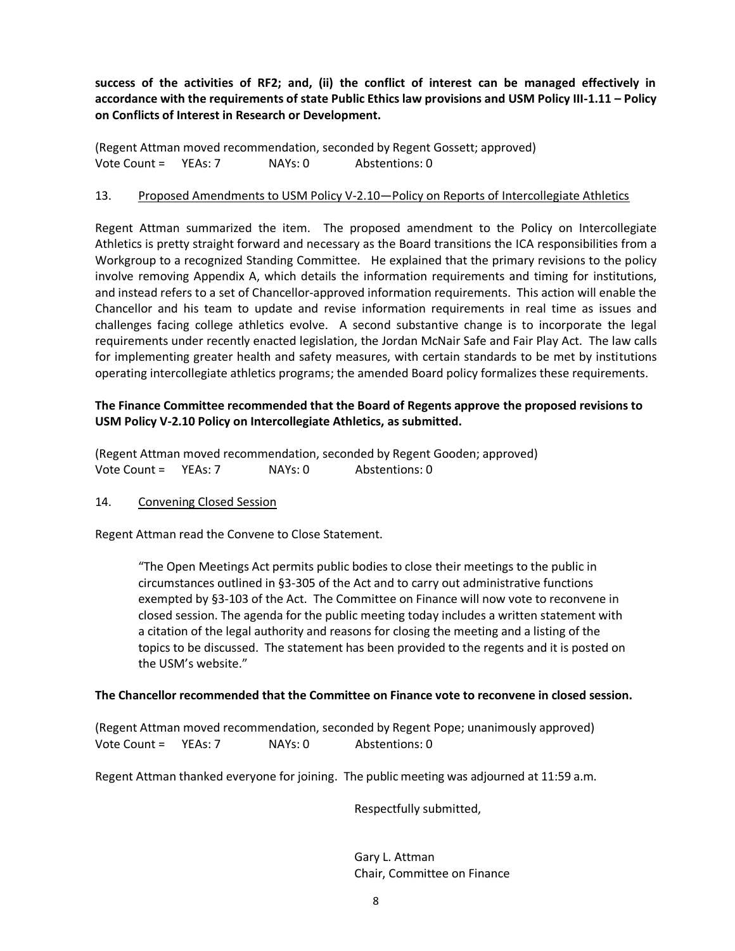**success of the activities of RF2; and, (ii) the conflict of interest can be managed effectively in accordance with the requirements of state Public Ethics law provisions and USM Policy III-1.11 – Policy on Conflicts of Interest in Research or Development.**

(Regent Attman moved recommendation, seconded by Regent Gossett; approved) Vote Count = YEAs: 7 NAYs: 0 Abstentions: 0

#### 13. Proposed Amendments to USM Policy V-2.10—Policy on Reports of Intercollegiate Athletics

Regent Attman summarized the item. The proposed amendment to the Policy on Intercollegiate Athletics is pretty straight forward and necessary as the Board transitions the ICA responsibilities from a Workgroup to a recognized Standing Committee. He explained that the primary revisions to the policy involve removing Appendix A, which details the information requirements and timing for institutions, and instead refers to a set of Chancellor-approved information requirements. This action will enable the Chancellor and his team to update and revise information requirements in real time as issues and challenges facing college athletics evolve. A second substantive change is to incorporate the legal requirements under recently enacted legislation, the Jordan McNair Safe and Fair Play Act. The law calls for implementing greater health and safety measures, with certain standards to be met by institutions operating intercollegiate athletics programs; the amended Board policy formalizes these requirements.

## **The Finance Committee recommended that the Board of Regents approve the proposed revisions to USM Policy V-2.10 Policy on Intercollegiate Athletics, as submitted.**

(Regent Attman moved recommendation, seconded by Regent Gooden; approved) Vote Count = YEAs: 7 NAYs: 0 Abstentions: 0

#### 14. Convening Closed Session

Regent Attman read the Convene to Close Statement.

"The Open Meetings Act permits public bodies to close their meetings to the public in circumstances outlined in §3-305 of the Act and to carry out administrative functions exempted by §3-103 of the Act. The Committee on Finance will now vote to reconvene in closed session. The agenda for the public meeting today includes a written statement with a citation of the legal authority and reasons for closing the meeting and a listing of the topics to be discussed. The statement has been provided to the regents and it is posted on the USM's website."

#### **The Chancellor recommended that the Committee on Finance vote to reconvene in closed session.**

(Regent Attman moved recommendation, seconded by Regent Pope; unanimously approved) Vote Count = YEAs: 7 NAYs: 0 Abstentions: 0

Regent Attman thanked everyone for joining. The public meeting was adjourned at 11:59 a.m.

Respectfully submitted,

Gary L. Attman Chair, Committee on Finance